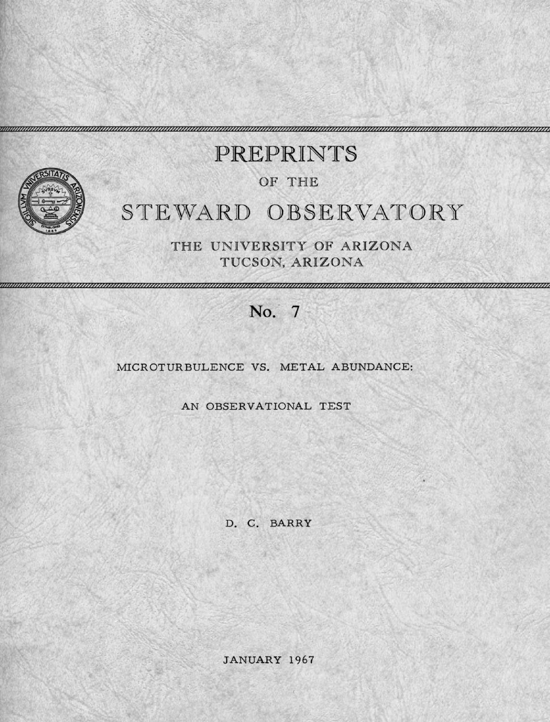

# STEWARD OBSERVATORY PREPRINTS OF THE

THE UNIVERSITY OF ARIZONA TUCSON, ARIZONA

## No. 7

### MICROTURBULENCE VS. METAL ABUNDANCE:

AN OBSERVATIONAL TEST

D. C. BARRY

JANUARY 1967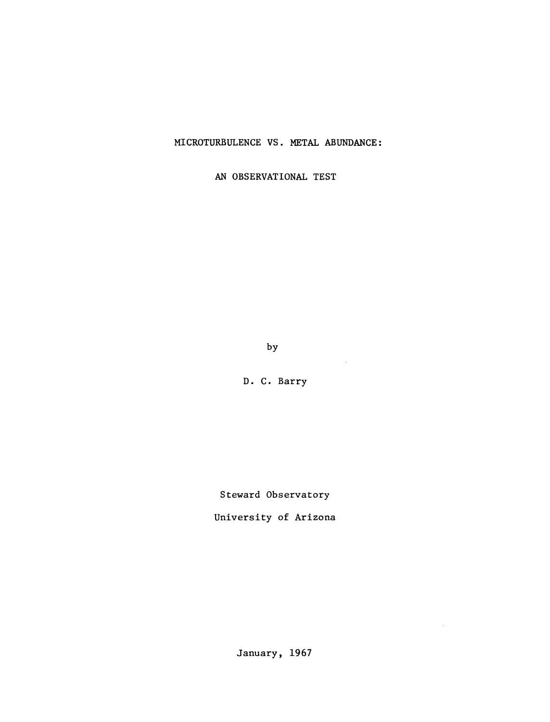MICROTURBULENCE VS. METAL ABUNDANCE:

AN OBSERVATIONAL TEST

by

 $\sim 10^7$ 

 $\mathcal{L}_{\mathcal{L}}$ 

D. C. Barry

Steward Observatory

University of Arizona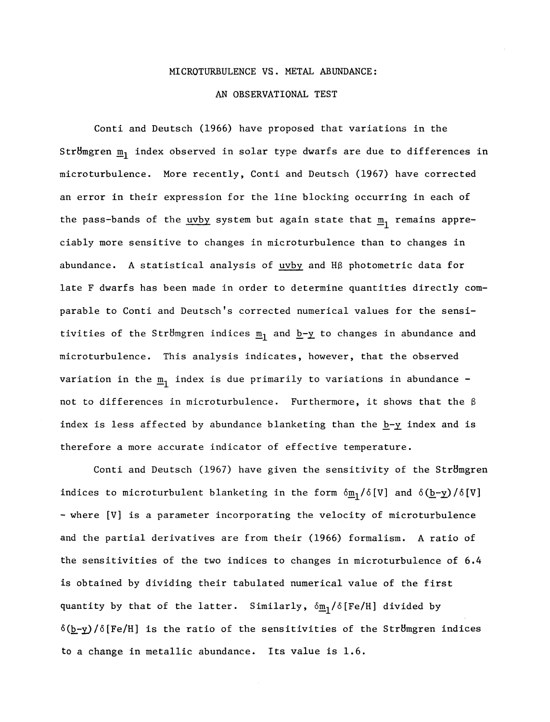#### MICROTURBULENCE VS. METAL ABUNDANCE:

#### AN OBSERVATIONAL TEST

Conti and Deutsch (1966) have proposed that variations in the Stromgren  $m_1$  index observed in solar type dwarfs are due to differences in microturbulence. More recently, Conti and Deutsch (1967) have corrected an error in their expression for the line blocking occurring in each of the pass-bands of the uvby system but again state that  $\underline{m}_1$  remains appreciably more sensitive to changes in microturbulence than to changes in abundance. A statistical analysis of  $uvby$  and H $\beta$  photometric data for</u> late F dwarfs has been made in order to determine quantities directly comparable to Conti and Deutsch's corrected numerical values for the sensitivities of the Stromgren indices  $m_1$  and  $b-y$  to changes in abundance and microturbulence. This analysis indicates, however, that the observed variation in the  $\underline{m}_1$  index is due primarily to variations in abundance not to differences in microturbulence. Furthermore, it shows that the  $\beta$ index is less affected by abundance blanketing than the  $\underline{b}-\underline{y}$  index and is therefore a more accurate indicator of effective temperature.

Conti and Deutsch (1967) have given the sensitivity of the Strömgren indices to microturbulent blanketing in the form  $\delta m_1/\delta[V]$  and  $\delta(b-y)/\delta[V]$ - where [V] is a parameter incorporating the velocity of microturbulence and the partial derivatives are from their (1966) formalism. A ratio of the sensitivities of the two indices to changes in microturbulence of 6.4 is obtained by dividing their tabulated numerical value of the first quantity by that of the latter. Similarly,  $\delta \underline{m}_1 / \delta$  [Fe/H] divided by  $\delta(\underline{b}-\underline{y})/\delta$ [Fe/H] is the ratio of the sensitivities of the Stromgren indices to a change in metallic abundance. Its value is 1.6.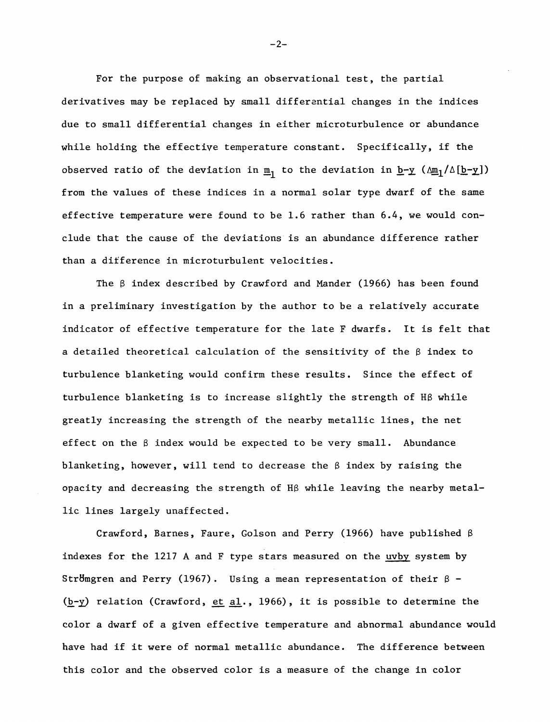For the purpose of making an observational test, the partial derivatives may be replaced by small differential changes in the indices due to small differential changes in either microturbulence or abundance while holding the effective temperature constant. Specifically, if the observed ratio of the deviation in  $\underline{m}_1$  to the deviation in  $\underline{b}-\underline{y}$  ( $\Delta \underline{m}_1/\Delta[\underline{b}-\underline{y}]$ ) from the values of these indices in a normal solar type dwarf of the same effective temperature were found to be 1.6 rather than 6.4, we would conclude that the cause of the deviations is an abundance difference rather than a difference in microturbulent velocities.

The ß index described by Crawford and Mander (1966) has been found in a preliminary investigation by the author to be a relatively accurate indicator of effective temperature for the late F dwarfs. It is felt that a detailed theoretical calculation of the sensitivity of the  $\beta$  index to turbulence blanketing would confirm these results. Since the effect of turbulence blanketing is to increase slightly the strength of Hß while greatly increasing the strength of the nearby metallic lines, the net effect on the  $\beta$  index would be expected to be very small. Abundance blanketing, however, will tend to decrease the  $\beta$  index by raising the opacity and decreasing the strength of Hß while leaving the nearby metallic lines largely unaffected.

Crawford, Barnes, Faure, Golson and Perry (1966) have published ß indexes for the 1217 A and F type stars measured on the uvby system by Stromgren and Perry (1967). Using a mean representation of their  $\beta$  - $(b-y)$  relation (Crawford, et al., 1966), it is possible to determine the color a dwarf of a given effective temperature and abnormal abundance would have had if it were of normal metallic abundance. The difference between this color and the observed color is a measure of the change in color

 $-2-$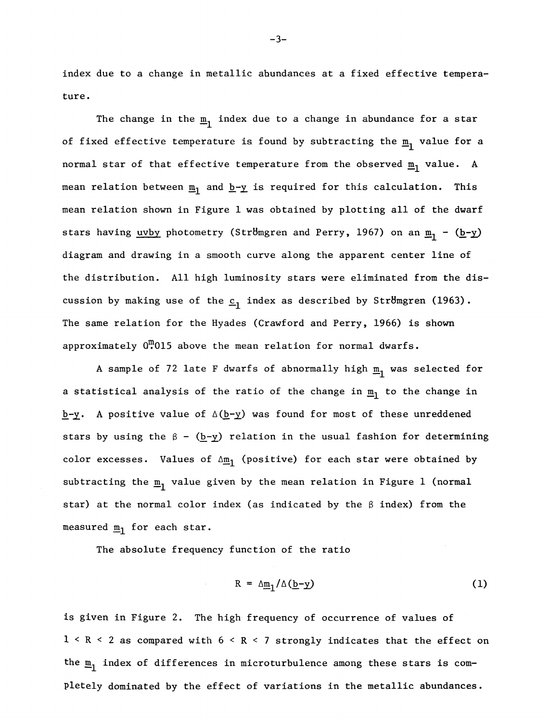index due to a change in metallic abundances at a fixed effective temperature.

The change in the  $\underline{m}_1$  index due to a change in abundance for a star of fixed effective temperature is found by subtracting the  $\underline{m}_1$  value for a normal star of that effective temperature from the observed  $\underline{m}_1$  value. A mean relation between  $\underline{m}_1$  and  $\underline{b}-\underline{y}$  is required for this calculation. This mean relation shown in Figure 1 was obtained by plotting all of the dwarf stars having <u>uvby</u> photometry (Strömgren and Perry, 1967) on an  $\underline{m}_1$  - (b-y) diagram and drawing in a smooth curve along the apparent center line of the distribution. All high luminosity stars were eliminated from the discussion by making use of the  $c_1$  index as described by Stromgren (1963). The same relation for the Hyades (Crawford and Perry, 1966) is shown approximately  $0^{\text{m}}$ 015 above the mean relation for normal dwarfs.

A sample of 72 late F dwarfs of abnormally high  $\underline{m}_1$  was selected for a statistical analysis of the ratio of the change in  $m_1$  to the change in  $b-y$ . A positive value of  $\Delta(b-y)$  was found for most of these unreddened stars by using the  $\beta$  - ( $\underline{b-y}$ ) relation in the usual fashion for determining color excesses. Values of  $\Delta m_1$  (positive) for each star were obtained by subtracting the  $\underline{m}_1$  value given by the mean relation in Figure 1 (normal star) at the normal color index (as indicated by the  $\beta$  index) from the measured  $m_1$  for each star.

The absolute frequency function of the ratio

$$
R = \Delta \underline{m}_1 / \Delta (\underline{b} - \underline{y}) \tag{1}
$$

is given in Figure 2. The high frequency of occurrence of values of  $1 < R < 2$  as compared with  $6 < R < 7$  strongly indicates that the effect on the  $m_1$  index of differences in microturbulence among these stars is completely dominated by the effect of variations in the metallic abundances.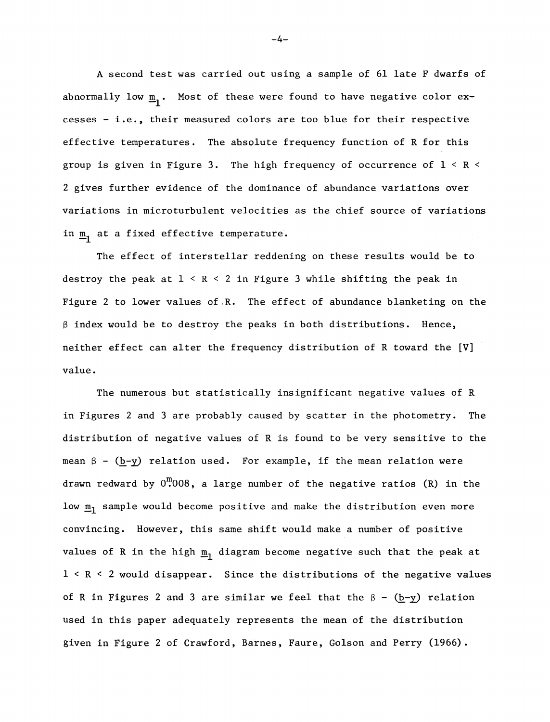A second test was carried out using a sample of 61 late F dwarfs of abnormally low  $\underline{m}_1$ . Most of these were found to have negative color excesses - i.e., their measured colors are too blue for their respective effective temperatures. The absolute frequency function of R for this group is given in Figure 3. The high frequency of occurrence of  $1 < R <$ 2 gives further evidence of the dominance of abundance variations over variations in microturbulent velocities as the chief source of variations in  $m_1$  at a fixed effective temperature.

The effect of interstellar reddening on these results would be to destroy the peak at  $1 < R < 2$  in Figure 3 while shifting the peak in Figure 2 to lower values of.R. The effect of abundance blanketing on the  $\beta$  index would be to destroy the peaks in both distributions. Hence, neither effect can alter the frequency distribution of R toward the [V] value.

The numerous but statistically insignificant negative values of R in Figures 2 and 3 are probably caused by scatter in the photometry. The distribution of negative values of R is found to be very sensitive to the mean  $\beta$  - (b-y) relation used. For example, if the mean relation were drawn redward by  $0^{\text{m}}$ 008, a large number of the negative ratios (R) in the low  $\underline{m}_1$  sample would become positive and make the distribution even more convincing. However, this same shift would make a number of positive values of R in the high  $\underline{m}_1$  diagram become negative such that the peak at 1 < R < 2 would disappear. Since the distributions of the negative values of R in Figures 2 and 3 are similar we feel that the  $\beta$  - (b-y) relation used in this paper adequately represents the mean of the distribution given in Figure 2 of Crawford, Barnes, Faure, Golson and Perry (1966).

 $-4-$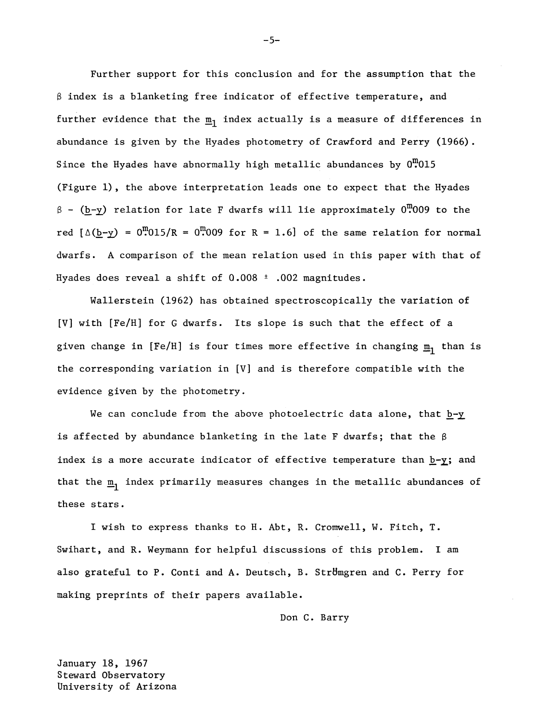Further support for this conclusion and for the assumption that the  $\beta$  index is a blanketing free indicator of effective temperature, and further evidence that the  $\underline{m}_1$  index actually is a measure of differences in abundance is given by the Hyades photometry of Crawford and Perry (1966). Since the Hyades have abnormally high metallic abundances by  $0^{10}$ 015 (Figure 1), the above interpretation leads one to expect that the Hyades  $\beta$  - (b-y) relation for late F dwarfs will lie approximately 0.009 to the red  $[\Delta(\underline{b}-y) = 0 \cdot \ldots \cdot 0 \cdot 15 / R = 0 \cdot \ldots \cdot R = 1.6]$  of the same relation for normal dwarfs. A comparison of the mean relation used in this paper with that of Hyades does reveal a shift of  $0.008 \pm .002$  magnitudes.

Wallerstein (1962) has obtained spectroscopically the variation of [V] with [Fe/H] for G dwarfs. Its slope is such that the effect of a given change in [Fe/H] is four times more effective in changing  $\underline{m}_1$  than is the corresponding variation in [V] and is therefore compatible with the evidence given by the photometry.

We can conclude from the above photoelectric data alone, that b-y is affected by abundance blanketing in the late F dwarfs; that the  $\beta$ index is a more accurate indicator of effective temperature than  $\underline{b}-\underline{y}$ ; and that the  $\underline{m}_1$  index primarily measures changes in the metallic abundances of these stars.

I wish to express thanks to H. Abt, R. Cromwell, W. Fitch, T. Swihart, and R. Weymann for helpful discussions of this problem. I am also grateful to P. Conti and A. Deutsch, B. Strömgren and C. Perry for making preprints of their papers available.

Don C. Barry

January 18, 1967 Steward Observatory University of Arizona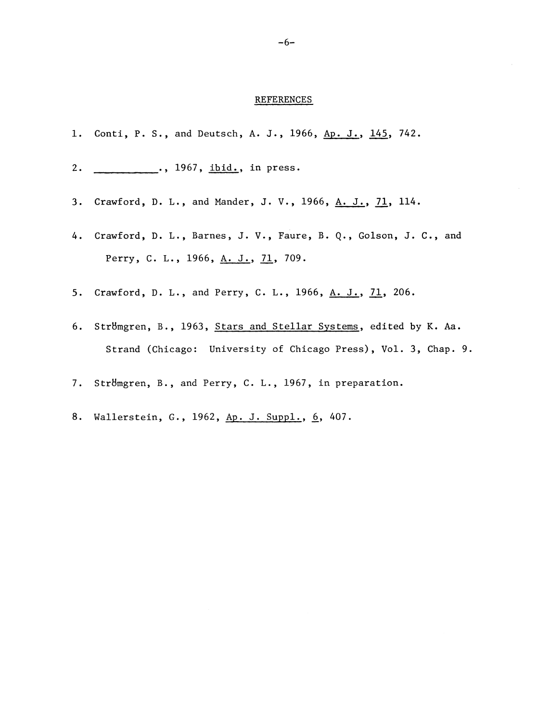#### REFERENCES

- 1. Conti, P. S., and Deutsch, A. J., 1966, Ap. J., 145, 742.
- 2. \_\_\_\_\_\_\_\_\_\_., 1967, ibid., in press.
- 3. Crawford, D. L., and Mander, J. V., 1966, A. J., 71, 114.
- 4. Crawford, D. L., Barnes, J. V., Faure, B. Q., Golson, J. C., and Perry, C. L., 1966, A. J., 71, 709.
- 5. Crawford, D. L., and Perry, C. L., 1966, A. J., 71, 206.
- 6. StrBmgren, B., 1963, Stars and Stellar Systems, edited by K. Aa. Strand (Chicago: University of Chicago Press), Vol. 3, Chap. 9.
- 7. Strömgren, B., and Perry, C. L., 1967, in preparation.
- 8. Wallerstein, G., 1962, Ap. J. Suppl., 6, 407.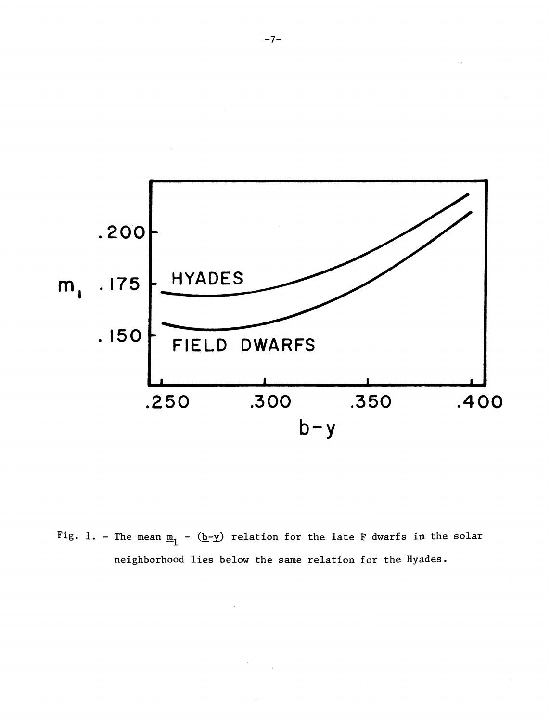

Fig. 1. - The mean  $\underline{m}_1$  - (b-y) relation for the late F dwarfs in the solar neighborhood lies below the same relation for the Hyades.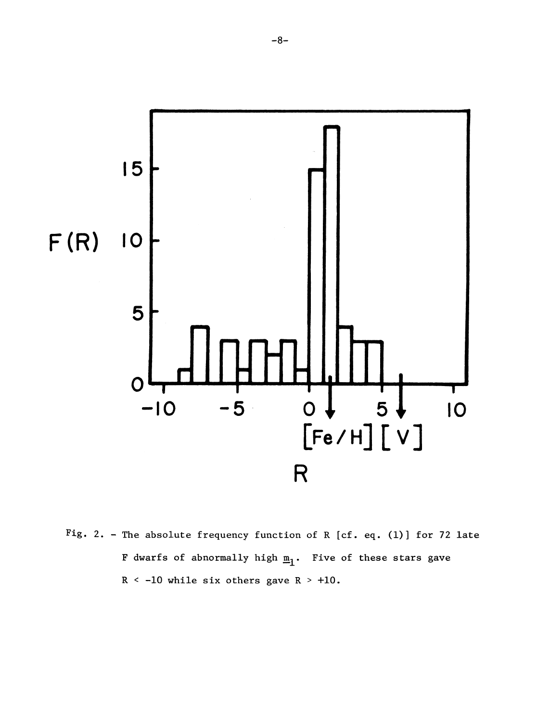

Fig. 2. - The absolute frequency function of R [cf. eq. (1)] for 72 late F dwarfs of abnormally high  $m_1$ . Five of these stars gave  $R < -10$  while six others gave  $R > +10$ .